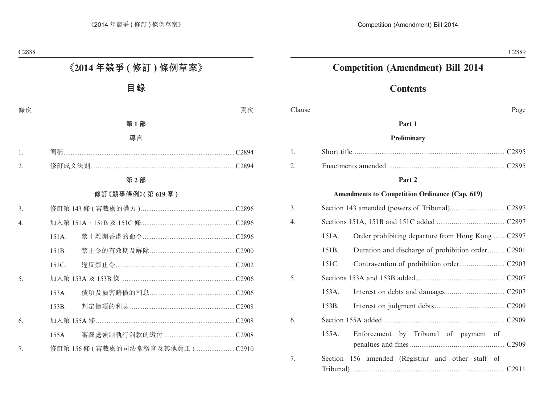# **Competition (Amendment) Bill 2014**

# **Contents**

Clause Page

## **Part 1**

#### **Preliminary**

### **Part 2**

#### **Amendments to Competition Ordinance (Cap. 619)**

| 3. |       |                                                   |
|----|-------|---------------------------------------------------|
| 4. |       |                                                   |
|    | 151A. | Order prohibiting departure from Hong Kong  C2897 |
|    | 151B. |                                                   |
|    | 151C. |                                                   |
| 5. |       |                                                   |
|    | 153A. |                                                   |
|    | 153B. |                                                   |
| 6. |       |                                                   |
|    | 155A. | Enforcement by Tribunal of payment of             |
| 7. |       | Section 156 amended (Registrar and other staff of |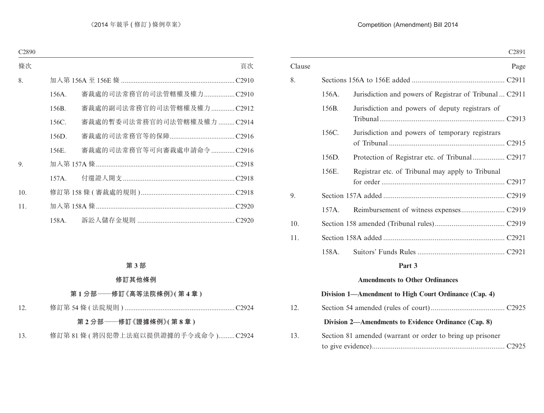#### Competition (Amendment) Bill 2014

|        |       | C <sub>2891</sub>                                       |
|--------|-------|---------------------------------------------------------|
| Clause |       | Page                                                    |
| 8.     |       |                                                         |
|        | 156A. | Jurisdiction and powers of Registrar of Tribunal  C2911 |
|        | 156B. | Jurisdiction and powers of deputy registrars of         |
|        | 156C. | Jurisdiction and powers of temporary registrars         |
|        | 156D. |                                                         |
|        | 156E. | Registrar etc. of Tribunal may apply to Tribunal        |
| 9.     |       |                                                         |
|        | 157A. |                                                         |
| 10.    |       |                                                         |
| 11.    |       |                                                         |
|        | 158A. |                                                         |
|        |       | Part 3                                                  |
|        |       | <b>Amendments to Other Ordinances</b>                   |
|        |       | Division 1—Amendment to High Court Ordinance (Cap. 4)   |

# 12. Section 54 amended (rules of court)....................................... C2925 **Division 2—Amendments to Evidence Ordinance (Cap. 8)** 13. Section 81 amended (warrant or order to bring up prisoner to give evidence)...................................................................... C2925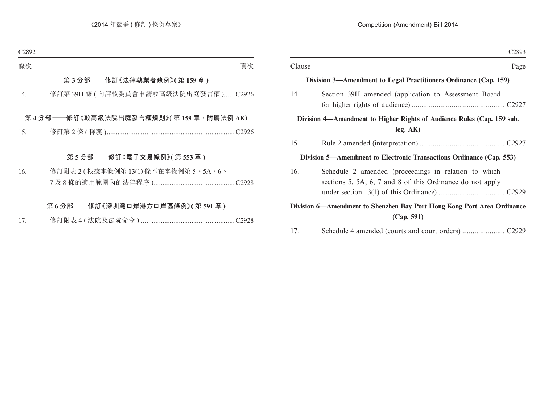|        | C <sub>2893</sub>                                                                                                 |
|--------|-------------------------------------------------------------------------------------------------------------------|
| Clause | Page                                                                                                              |
|        | Division 3—Amendment to Legal Practitioners Ordinance (Cap. 159)                                                  |
| 14.    | Section 39H amended (application to Assessment Board                                                              |
|        | Division 4—Amendment to Higher Rights of Audience Rules (Cap. 159 sub.<br>leg. AK)                                |
| 15.    |                                                                                                                   |
|        | Division 5—Amendment to Electronic Transactions Ordinance (Cap. 553)                                              |
| 16.    | Schedule 2 amended (proceedings in relation to which<br>sections 5, 5A, 6, 7 and 8 of this Ordinance do not apply |
|        | Division 6—Amendment to Shenzhen Bay Port Hong Kong Port Area Ordinance                                           |
|        | (Cap. 591)                                                                                                        |
| 17.    |                                                                                                                   |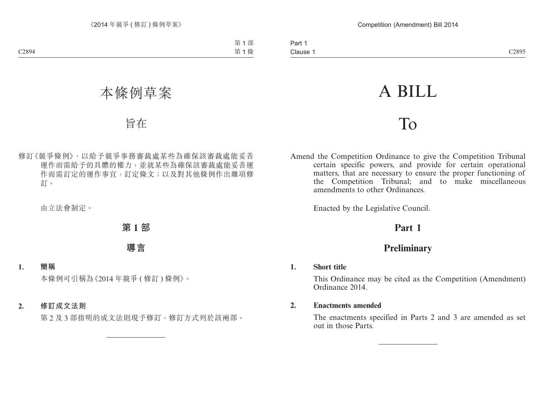# A BILL

# To

Amend the Competition Ordinance to give the Competition Tribunal certain specific powers, and provide for certain operational matters, that are necessary to ensure the proper functioning of the Competition Tribunal; and to make miscellaneous amendments to other Ordinances.

Enacted by the Legislative Council.

# **Part 1**

# **Preliminary**

#### **1. Short title**

This Ordinance may be cited as the Competition (Amendment) Ordinance 2014.

#### **2. Enactments amended**

The enactments specified in Parts 2 and 3 are amended as set out in those Parts.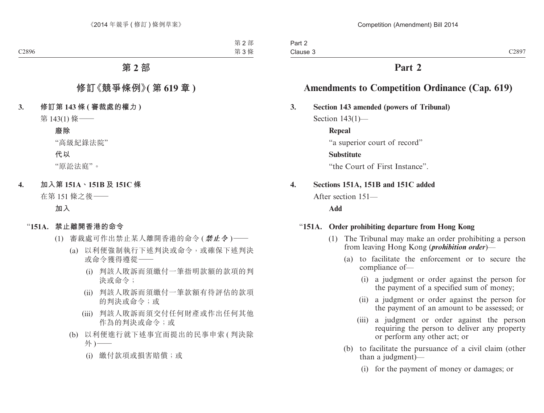# **Part 2**

# **Amendments to Competition Ordinance (Cap. 619)**

### **3. Section 143 amended (powers of Tribunal)**

Section 143(1)—

**Repeal**

"a superior court of record"

### **Substitute**

"the Court of First Instance".

# **4. Sections 151A, 151B and 151C added**

After section 151—

## **Add**

## "**151A. Order prohibiting departure from Hong Kong**

- (1) The Tribunal may make an order prohibiting a person from leaving Hong Kong (*prohibition order*)—
	- (a) to facilitate the enforcement or to secure the compliance of—
		- (i) a judgment or order against the person for the payment of a specified sum of money;
		- (ii) a judgment or order against the person for the payment of an amount to be assessed; or
		- (iii) a judgment or order against the person requiring the person to deliver any property or perform any other act; or
	- (b) to facilitate the pursuance of a civil claim (other than a judgment)—
		- (i) for the payment of money or damages; or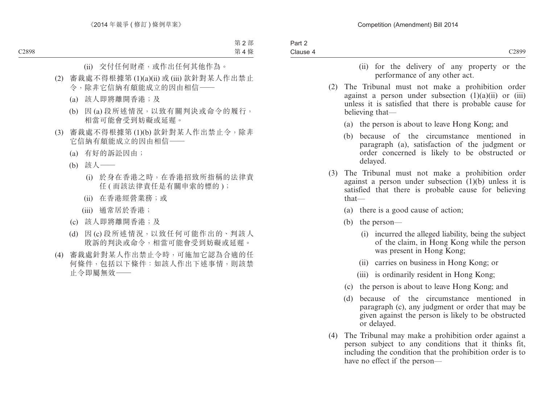- (ii) for the delivery of any property or the performance of any other act.
- (2) The Tribunal must not make a prohibition order against a person under subsection  $(1)(a)(ii)$  or  $(iii)$ unless it is satisfied that there is probable cause for believing that—
	- (a) the person is about to leave Hong Kong; and
	- (b) because of the circumstance mentioned in paragraph (a), satisfaction of the judgment or order concerned is likely to be obstructed or delayed.
- (3) The Tribunal must not make a prohibition order against a person under subsection  $(1)(b)$  unless it is satisfied that there is probable cause for believing that—
	- (a) there is a good cause of action;
	- (b) the person—
		- (i) incurred the alleged liability, being the subject of the claim, in Hong Kong while the person was present in Hong Kong;
		- (ii) carries on business in Hong Kong; or
		- (iii) is ordinarily resident in Hong Kong;
	- (c) the person is about to leave Hong Kong; and
	- (d) because of the circumstance mentioned in paragraph (c), any judgment or order that may be given against the person is likely to be obstructed or delayed.
- (4) The Tribunal may make a prohibition order against a person subject to any conditions that it thinks fit, including the condition that the prohibition order is to have no effect if the person—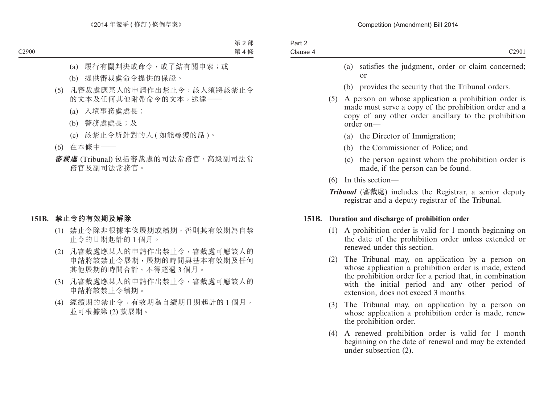- (a) satisfies the judgment, order or claim concerned; or
- (b) provides the security that the Tribunal orders.
- (5) A person on whose application a prohibition order is made must serve a copy of the prohibition order and a copy of any other order ancillary to the prohibition order on—
	- (a) the Director of Immigration;
	- (b) the Commissioner of Police; and
	- (c) the person against whom the prohibition order is made, if the person can be found.
- (6) In this section—

*Tribunal* (審裁處) includes the Registrar, a senior deputy registrar and a deputy registrar of the Tribunal.

#### **151B. Duration and discharge of prohibition order**

- (1) A prohibition order is valid for 1 month beginning on the date of the prohibition order unless extended or renewed under this section.
- (2) The Tribunal may, on application by a person on whose application a prohibition order is made, extend the prohibition order for a period that, in combination with the initial period and any other period of extension, does not exceed 3 months.
- (3) The Tribunal may, on application by a person on whose application a prohibition order is made, renew the prohibition order.
- (4) A renewed prohibition order is valid for 1 month beginning on the date of renewal and may be extended under subsection (2).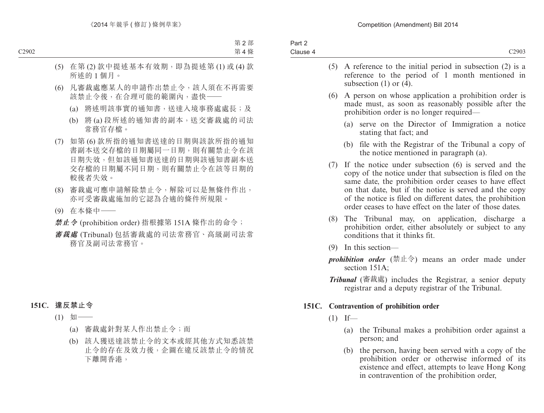| Part 2   |                                                                  |
|----------|------------------------------------------------------------------|
| Clause 4 | C <sub>2903</sub>                                                |
|          | $(5)$ A reference to the initial period in subsection $(2)$ is a |

- reference to the period of 1 month mentioned in subsection (1) or  $(\overline{4})$ . (6) A person on whose application a prohibition order is made must, as soon as reasonably possible after the prohibition order is no longer required— (a) serve on the Director of Immigration a notice stating that fact; and (b) file with the Registrar of the Tribunal a copy of the notice mentioned in paragraph (a). (7) If the notice under subsection (6) is served and the copy of the notice under that subsection is filed on the same date, the prohibition order ceases to have effect on that date, but if the notice is served and the copy of the notice is filed on different dates, the prohibition order ceases to have effect on the later of those dates. (8) The Tribunal may, on application, discharge a prohibition order, either absolutely or subject to any
	- conditions that it thinks fit.
	- (9) In this section—
	- *prohibition order* (禁止令) means an order made under section 151A:
	- *Tribunal* (審裁處) includes the Registrar, a senior deputy registrar and a deputy registrar of the Tribunal.

# **151C. Contravention of prohibition order**

- $(1)$  If—
	- (a) the Tribunal makes a prohibition order against a person; and
	- (b) the person, having been served with a copy of the prohibition order or otherwise informed of its existence and effect, attempts to leave Hong Kong in contravention of the prohibition order,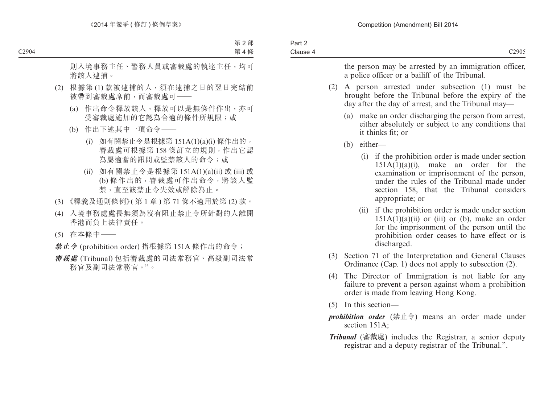| Part 2   |                   |
|----------|-------------------|
| Clause 4 | C <sub>2905</sub> |
|          |                   |

the person may be arrested by an immigration officer, a police officer or a bailiff of the Tribunal.

- (2) A person arrested under subsection (1) must be brought before the Tribunal before the expiry of the day after the day of arrest, and the Tribunal may—
	- (a) make an order discharging the person from arrest, either absolutely or subject to any conditions that it thinks fit; or
	- (b) either—
		- (i) if the prohibition order is made under section  $151A(1)(a)(i)$ , make an order for the examination or imprisonment of the person, under the rules of the Tribunal made under section 158, that the Tribunal considers appropriate; or
		- (ii) if the prohibition order is made under section  $151A(1)(a)(ii)$  or (iii) or (b), make an order for the imprisonment of the person until the prohibition order ceases to have effect or is discharged.
- (3) Section 71 of the Interpretation and General Clauses Ordinance (Cap. 1) does not apply to subsection (2).
- (4) The Director of Immigration is not liable for any failure to prevent a person against whom a prohibition order is made from leaving Hong Kong.
- (5) In this section—
- *prohibition order* (禁止令) means an order made under section 151A;
- *Tribunal* (審裁處) includes the Registrar, a senior deputy registrar and a deputy registrar of the Tribunal.".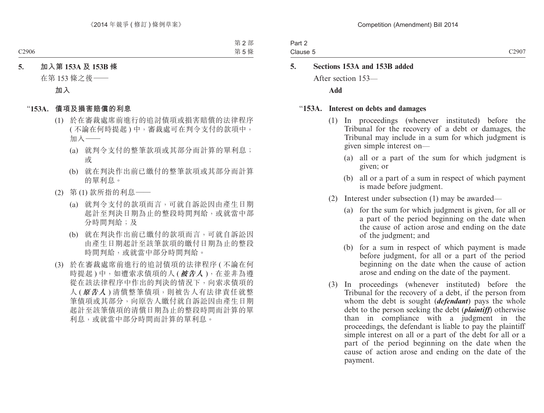Part 2 Clause 5

# **5. Sections 153A and 153B added**

After section 153—

**Add**

#### "**153A. Interest on debts and damages**

- (1) In proceedings (whenever instituted) before the Tribunal for the recovery of a debt or damages, the Tribunal may include in a sum for which judgment is given simple interest on—
	- (a) all or a part of the sum for which judgment is given; or
	- (b) all or a part of a sum in respect of which payment is made before judgment.
- (2) Interest under subsection (1) may be awarded—
	- (a) for the sum for which judgment is given, for all or a part of the period beginning on the date when the cause of action arose and ending on the date of the judgment; and
	- (b) for a sum in respect of which payment is made before judgment, for all or a part of the period beginning on the date when the cause of action arose and ending on the date of the payment.
- (3) In proceedings (whenever instituted) before the Tribunal for the recovery of a debt, if the person from whom the debt is sought (*defendant*) pays the whole debt to the person seeking the debt (*plaintiff*) otherwise than in compliance with a judgment in the proceedings, the defendant is liable to pay the plaintiff simple interest on all or a part of the debt for all or a part of the period beginning on the date when the cause of action arose and ending on the date of the payment.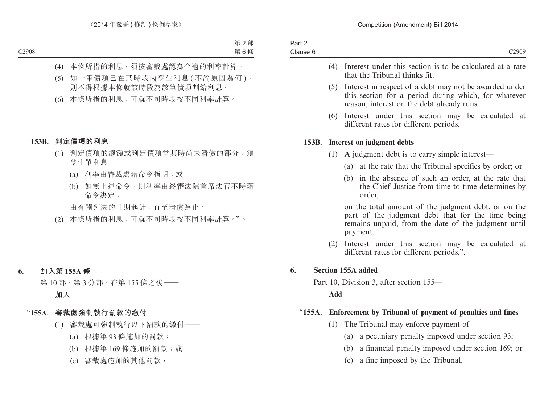| Part 2   |                   |
|----------|-------------------|
| Clause 6 | C <sub>2909</sub> |
|          |                   |

- (4) Interest under this section is to be calculated at a rate that the Tribunal thinks fit.
- (5) Interest in respect of a debt may not be awarded under this section for a period during which, for whatever reason, interest on the debt already runs.
- (6) Interest under this section may be calculated at different rates for different periods.

#### **153B. Interest on judgment debts**

- (1) A judgment debt is to carry simple interest—
	- (a) at the rate that the Tribunal specifies by order; or
	- (b) in the absence of such an order, at the rate that the Chief Justice from time to time determines by order,

on the total amount of the judgment debt, or on the part of the judgment debt that for the time being remains unpaid, from the date of the judgment until payment.

(2) Interest under this section may be calculated at different rates for different periods.".

#### **6. Section 155A added**

Part 10, Division 3, after section 155—

**Add**

## "**155A. Enforcement by Tribunal of payment of penalties and fines**

- (1) The Tribunal may enforce payment of—
	- (a) a pecuniary penalty imposed under section 93;
	- (b) a financial penalty imposed under section 169; or
	- (c) a fine imposed by the Tribunal,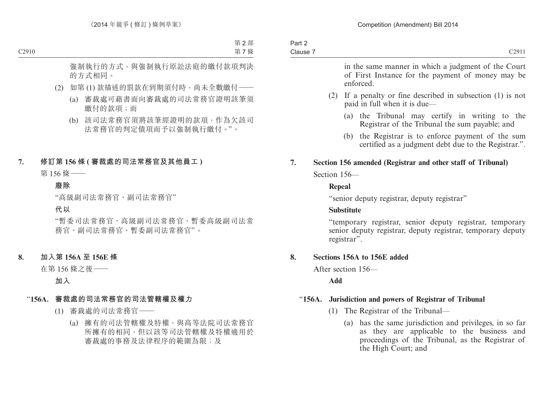| Part 2   |                   |
|----------|-------------------|
| Clause 7 | C <sub>2911</sub> |
|          |                   |

in the same manner in which a judgment of the Court of First Instance for the payment of money may be enforced.

- (2) If a penalty or fine described in subsection (1) is not paid in full when it is due—
	- (a) the Tribunal may certify in writing to the Registrar of the Tribunal the sum payable; and
	- (b) the Registrar is to enforce payment of the sum certified as a judgment debt due to the Registrar.".

# **7. Section 156 amended (Registrar and other staff of Tribunal)**

Section 156—

#### **Repeal**

"senior deputy registrar, deputy registrar"

## **Substitute**

"temporary registrar, senior deputy registrar, temporary senior deputy registrar, deputy registrar, temporary deputy registrar<sup>".</sup>

## **8. Sections 156A to 156E added**

After section 156—

**Add**

# "**156A. Jurisdiction and powers of Registrar of Tribunal**

- (1) The Registrar of the Tribunal—
	- (a) has the same jurisdiction and privileges, in so far as they are applicable to the business and proceedings of the Tribunal, as the Registrar of the High Court; and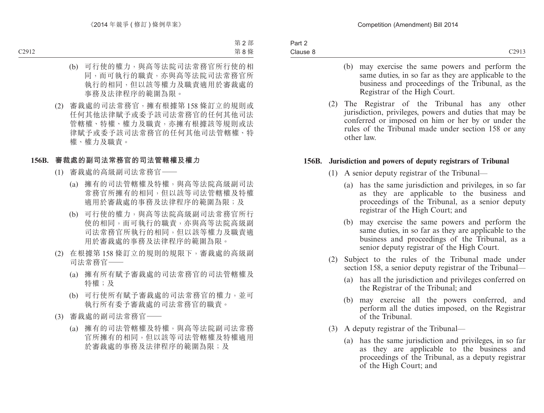- (b) may exercise the same powers and perform the same duties, in so far as they are applicable to the business and proceedings of the Tribunal, as the Registrar of the High Court.
- (2) The Registrar of the Tribunal has any other jurisdiction, privileges, powers and duties that may be conferred or imposed on him or her by or under the rules of the Tribunal made under section 158 or any other law.

#### **156B. Jurisdiction and powers of deputy registrars of Tribunal**

- (1) A senior deputy registrar of the Tribunal—
	- (a) has the same jurisdiction and privileges, in so far as they are applicable to the business and proceedings of the Tribunal, as a senior deputy registrar of the High Court; and
	- (b) may exercise the same powers and perform the same duties, in so far as they are applicable to the business and proceedings of the Tribunal, as a senior deputy registrar of the High Court.
- (2) Subject to the rules of the Tribunal made under section 158, a senior deputy registrar of the Tribunal—
	- (a) has all the jurisdiction and privileges conferred on the Registrar of the Tribunal; and
	- (b) may exercise all the powers conferred, and perform all the duties imposed, on the Registrar of the Tribunal.
- (3) A deputy registrar of the Tribunal—
	- (a) has the same jurisdiction and privileges, in so far as they are applicable to the business and proceedings of the Tribunal, as a deputy registrar of the High Court; and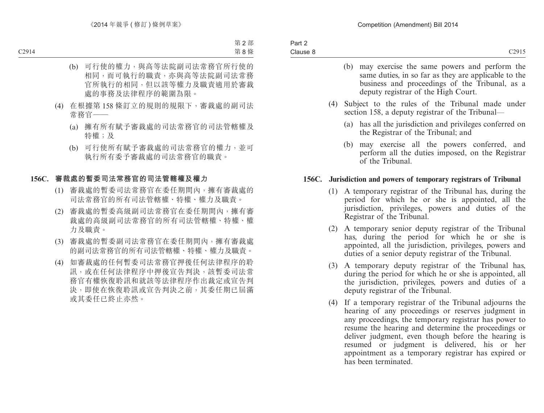- (b) may exercise the same powers and perform the same duties, in so far as they are applicable to the business and proceedings of the Tribunal, as a deputy registrar of the High Court.
- (4) Subject to the rules of the Tribunal made under section 158, a deputy registrar of the Tribunal—
	- (a) has all the jurisdiction and privileges conferred on the Registrar of the Tribunal; and
	- (b) may exercise all the powers conferred, and perform all the duties imposed, on the Registrar of the Tribunal.

#### **156C. Jurisdiction and powers of temporary registrars of Tribunal**

- (1) A temporary registrar of the Tribunal has, during the period for which he or she is appointed, all the jurisdiction, privileges, powers and duties of the Registrar of the Tribunal.
- (2) A temporary senior deputy registrar of the Tribunal has, during the period for which he or she is appointed, all the jurisdiction, privileges, powers and duties of a senior deputy registrar of the Tribunal.
- (3) A temporary deputy registrar of the Tribunal has, during the period for which he or she is appointed, all the jurisdiction, privileges, powers and duties of a deputy registrar of the Tribunal.
- (4) If a temporary registrar of the Tribunal adjourns the hearing of any proceedings or reserves judgment in any proceedings, the temporary registrar has power to resume the hearing and determine the proceedings or deliver judgment, even though before the hearing is resumed or judgment is delivered, his or her appointment as a temporary registrar has expired or has been terminated.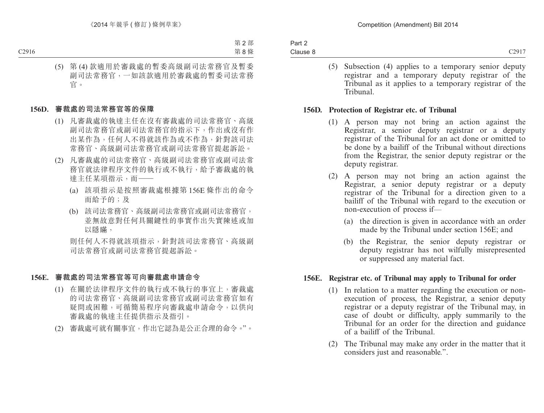| Part 2   |  |
|----------|--|
| Clause 8 |  |

(5) Subsection (4) applies to a temporary senior deputy registrar and a temporary deputy registrar of the Tribunal as it applies to a temporary registrar of the Tribunal.

#### **156D. Protection of Registrar etc. of Tribunal**

- (1) A person may not bring an action against the Registrar, a senior deputy registrar or a deputy registrar of the Tribunal for an act done or omitted to be done by a bailiff of the Tribunal without directions from the Registrar, the senior deputy registrar or the deputy registrar.
- (2) A person may not bring an action against the Registrar, a senior deputy registrar or a deputy registrar of the Tribunal for a direction given to a bailiff of the Tribunal with regard to the execution or non-execution of process if—
	- (a) the direction is given in accordance with an order made by the Tribunal under section 156E; and
	- (b) the Registrar, the senior deputy registrar or deputy registrar has not wilfully misrepresented or suppressed any material fact.

#### **156E. Registrar etc. of Tribunal may apply to Tribunal for order**

- (1) In relation to a matter regarding the execution or nonexecution of process, the Registrar, a senior deputy registrar or a deputy registrar of the Tribunal may, in case of doubt or difficulty, apply summarily to the Tribunal for an order for the direction and guidance of a bailiff of the Tribunal.
- (2) The Tribunal may make any order in the matter that it considers just and reasonable.".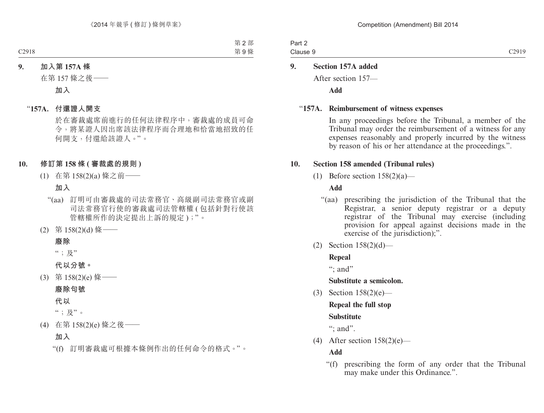| Part 2   |  |
|----------|--|
| Clause 9 |  |

## **9. Section 157A added**

After section 157—

**Add**

#### "**157A. Reimbursement of witness expenses**

In any proceedings before the Tribunal, a member of the Tribunal may order the reimbursement of a witness for any expenses reasonably and properly incurred by the witness by reason of his or her attendance at the proceedings.".

#### **10. Section 158 amended (Tribunal rules)**

(1) Before section  $158(2)(a)$ —

### **Add**

- "(aa) prescribing the jurisdiction of the Tribunal that the Registrar, a senior deputy registrar or a deputy registrar of the Tribunal may exercise (including provision for appeal against decisions made in the exercise of the jurisdiction);".
- (2) Section 158(2)(d)—

#### **Repeal**

": and"

#### **Substitute a semicolon.**

(3) Section 158(2)(e)—

# **Repeal the full stop**

## **Substitute**

": and".

(4) After section 158(2)(e)—

## **Add**

"(f) prescribing the form of any order that the Tribunal may make under this Ordinance.".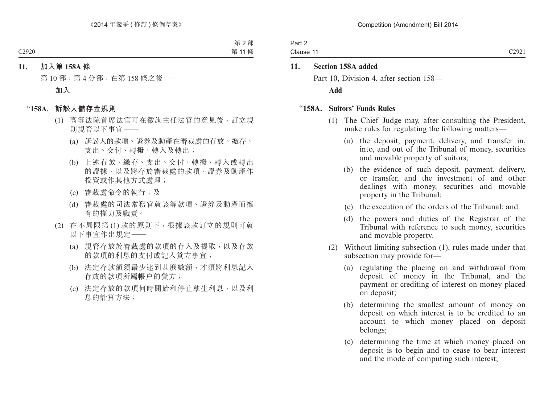| Part 2    |  |
|-----------|--|
| Clause 11 |  |
|           |  |

#### **11. Section 158A added**

Part 10, Division 4, after section 158— **Add**

#### "**158A. Suitors' Funds Rules**

- (1) The Chief Judge may, after consulting the President, make rules for regulating the following matters—
	- (a) the deposit, payment, delivery, and transfer in, into, and out of the Tribunal of money, securities and movable property of suitors;
	- (b) the evidence of such deposit, payment, delivery, or transfer, and the investment of and other dealings with money, securities and movable property in the Tribunal;
	- (c) the execution of the orders of the Tribunal; and
	- (d) the powers and duties of the Registrar of the Tribunal with reference to such money, securities and movable property.
- (2) Without limiting subsection (1), rules made under that subsection may provide for—
	- (a) regulating the placing on and withdrawal from deposit of money in the Tribunal, and the payment or crediting of interest on money placed on deposit;
	- (b) determining the smallest amount of money on deposit on which interest is to be credited to an account to which money placed on deposit belongs;
	- (c) determining the time at which money placed on deposit is to begin and to cease to bear interest and the mode of computing such interest;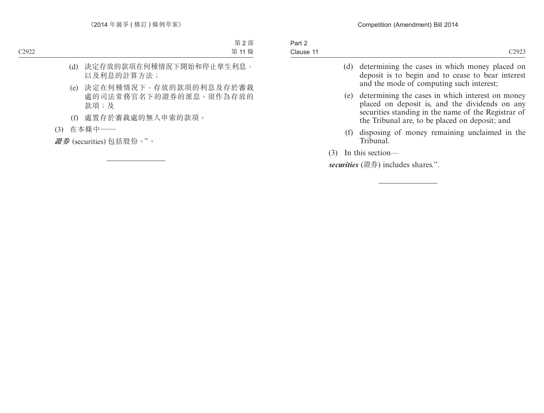|     | (d) determining the cases in which money placed on<br>deposit is to begin and to cease to bear interest<br>and the mode of computing such interest;                                                         |
|-----|-------------------------------------------------------------------------------------------------------------------------------------------------------------------------------------------------------------|
| (e) | determining the cases in which interest on money<br>placed on deposit is, and the dividends on any<br>securities standing in the name of the Registrar of<br>the Tribunal are, to be placed on deposit; and |

(f) disposing of money remaining unclaimed in the Tribunal.

(3) In this section—

*securities* (證券) includes shares.".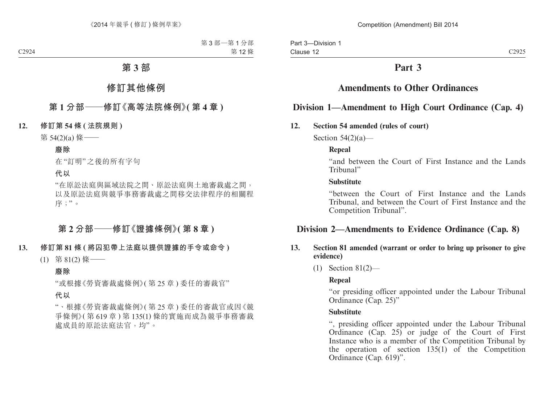# **Part 3**

# **Amendments to Other Ordinances**

# **Division 1—Amendment to High Court Ordinance (Cap. 4)**

#### **12. Section 54 amended (rules of court)**

Section  $54(2)(a)$ —

#### **Repeal**

"and between the Court of First Instance and the Lands Tribunal"

#### **Substitute**

"between the Court of First Instance and the Lands Tribunal, and between the Court of First Instance and the Competition Tribunal".

# **Division 2—Amendments to Evidence Ordinance (Cap. 8)**

#### **13. Section 81 amended (warrant or order to bring up prisoner to give evidence)**

(1) Section 81(2)—

#### **Repeal**

"or presiding officer appointed under the Labour Tribunal Ordinance (Cap. 25)"

#### **Substitute**

", presiding officer appointed under the Labour Tribunal Ordinance (Cap. 25) or judge of the Court of First Instance who is a member of the Competition Tribunal by the operation of section  $135(1)$  of the Competition Ordinance (Cap. 619)".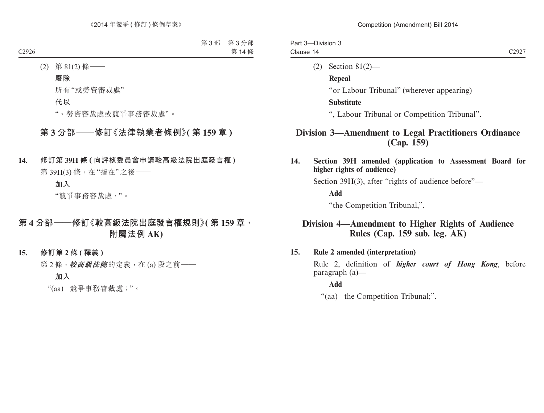| Part 3-Division 3 |                          |                   |
|-------------------|--------------------------|-------------------|
| Clause 14         |                          | C <sub>2927</sub> |
|                   | $(2)$ Section 81 $(2)$ — |                   |

**Repeal**

"or Labour Tribunal" (wherever appearing)

#### **Substitute**

", Labour Tribunal or Competition Tribunal".

# **Division 3—Amendment to Legal Practitioners Ordinance (Cap. 159)**

**14. Section 39H amended (application to Assessment Board for higher rights of audience)**

Section 39H(3), after "rights of audience before"—

**Add**

"the Competition Tribunal,".

# **Division 4—Amendment to Higher Rights of Audience Rules (Cap. 159 sub. leg. AK)**

#### **15. Rule 2 amended (interpretation)**

Rule 2, definition of *higher court of Hong Kong*, before paragraph (a)—

#### **Add**

"(aa) the Competition Tribunal;".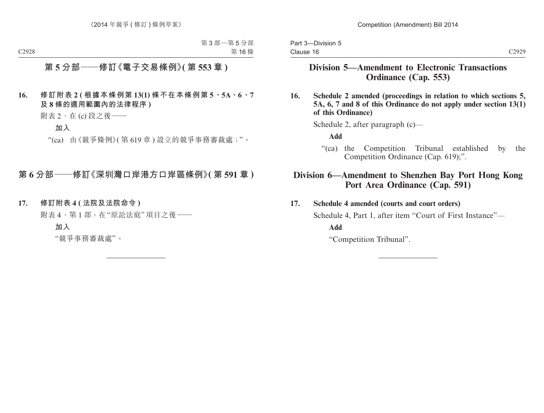# **Division 5—Amendment to Electronic Transactions Ordinance (Cap. 553)**

**16. Schedule 2 amended (proceedings in relation to which sections 5, 5A, 6, 7 and 8 of this Ordinance do not apply under section 13(1) of this Ordinance)**

Schedule 2, after paragraph (c)—

**Add**

"(ca) the Competition Tribunal established by the Competition Ordinance (Cap. 619);".

# **Division 6—Amendment to Shenzhen Bay Port Hong Kong Port Area Ordinance (Cap. 591)**

## **17. Schedule 4 amended (courts and court orders)**

Schedule 4, Part 1, after item "Court of First Instance"—

**Add**

"Competition Tribunal".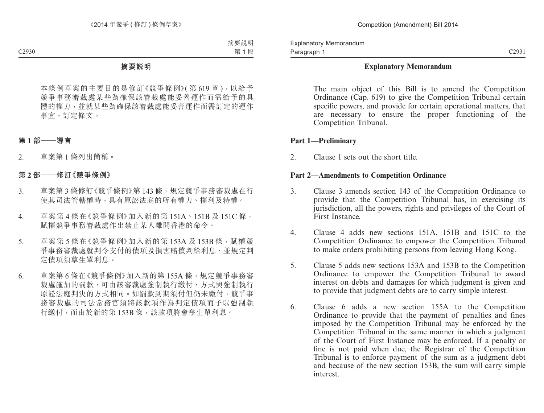#### **Explanatory Memorandum**

The main object of this Bill is to amend the Competition Ordinance (Cap. 619) to give the Competition Tribunal certain specific powers, and provide for certain operational matters, that are necessary to ensure the proper functioning of the Competition Tribunal.

#### **Part 1—Preliminary**

2. Clause 1 sets out the short title.

#### **Part 2—Amendments to Competition Ordinance**

- 3. Clause 3 amends section 143 of the Competition Ordinance to provide that the Competition Tribunal has, in exercising its jurisdiction, all the powers, rights and privileges of the Court of First Instance.
- 4. Clause 4 adds new sections 151A, 151B and 151C to the Competition Ordinance to empower the Competition Tribunal to make orders prohibiting persons from leaving Hong Kong.
- 5. Clause 5 adds new sections 153A and 153B to the Competition Ordinance to empower the Competition Tribunal to award interest on debts and damages for which judgment is given and to provide that judgment debts are to carry simple interest.
- 6. Clause 6 adds a new section 155A to the Competition Ordinance to provide that the payment of penalties and fines imposed by the Competition Tribunal may be enforced by the Competition Tribunal in the same manner in which a judgment of the Court of First Instance may be enforced. If a penalty or fine is not paid when due, the Registrar of the Competition Tribunal is to enforce payment of the sum as a judgment debt and because of the new section 153B, the sum will carry simple interest.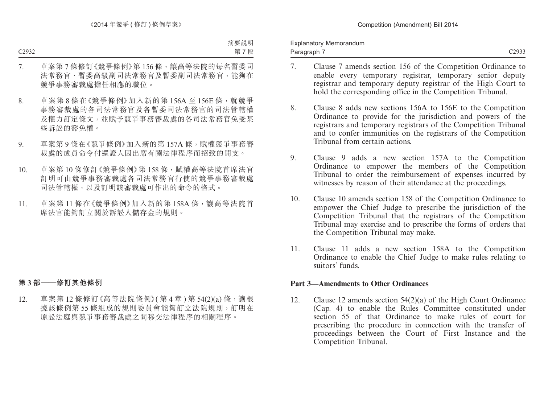Explanatory Memorandum Paragraph 7

- 7. Clause 7 amends section 156 of the Competition Ordinance to enable every temporary registrar, temporary senior deputy registrar and temporary deputy registrar of the High Court to hold the corresponding office in the Competition Tribunal.
- 8. Clause 8 adds new sections 156A to 156E to the Competition Ordinance to provide for the jurisdiction and powers of the registrars and temporary registrars of the Competition Tribunal and to confer immunities on the registrars of the Competition Tribunal from certain actions.
- 9. Clause 9 adds a new section 157A to the Competition Ordinance to empower the members of the Competition Tribunal to order the reimbursement of expenses incurred by witnesses by reason of their attendance at the proceedings.
- 10. Clause 10 amends section 158 of the Competition Ordinance to empower the Chief Judge to prescribe the jurisdiction of the Competition Tribunal that the registrars of the Competition Tribunal may exercise and to prescribe the forms of orders that the Competition Tribunal may make.
- 11. Clause 11 adds a new section 158A to the Competition Ordinance to enable the Chief Judge to make rules relating to suitors' funds.

#### **Part 3—Amendments to Other Ordinances**

12. Clause 12 amends section 54(2)(a) of the High Court Ordinance (Cap. 4) to enable the Rules Committee constituted under section 55 of that Ordinance to make rules of court for prescribing the procedure in connection with the transfer of proceedings between the Court of First Instance and the Competition Tribunal.